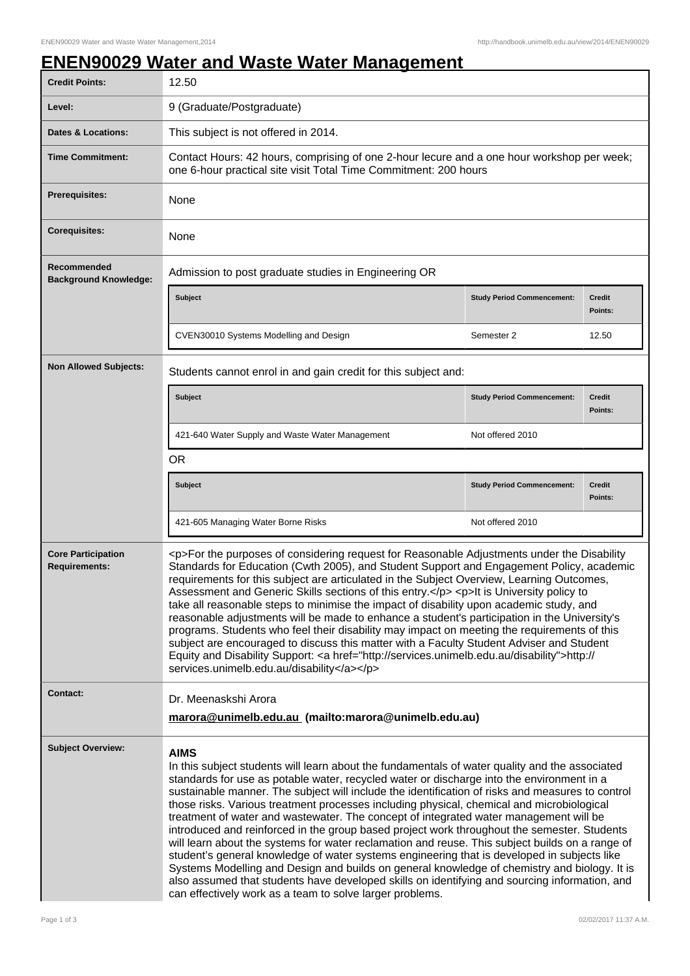## **ENEN90029 Water and Waste Water Management**

| <b>Credit Points:</b>                             | 12.50                                                                                                                                                                                                                                                                                                                                                                                                                                                                                                                                                                                                                                                                                                                                                                                                                                                                                                                                                                                                                                                              |                                   |                   |  |
|---------------------------------------------------|--------------------------------------------------------------------------------------------------------------------------------------------------------------------------------------------------------------------------------------------------------------------------------------------------------------------------------------------------------------------------------------------------------------------------------------------------------------------------------------------------------------------------------------------------------------------------------------------------------------------------------------------------------------------------------------------------------------------------------------------------------------------------------------------------------------------------------------------------------------------------------------------------------------------------------------------------------------------------------------------------------------------------------------------------------------------|-----------------------------------|-------------------|--|
| Level:                                            | 9 (Graduate/Postgraduate)                                                                                                                                                                                                                                                                                                                                                                                                                                                                                                                                                                                                                                                                                                                                                                                                                                                                                                                                                                                                                                          |                                   |                   |  |
| Dates & Locations:                                | This subject is not offered in 2014.                                                                                                                                                                                                                                                                                                                                                                                                                                                                                                                                                                                                                                                                                                                                                                                                                                                                                                                                                                                                                               |                                   |                   |  |
| <b>Time Commitment:</b>                           | Contact Hours: 42 hours, comprising of one 2-hour lecure and a one hour workshop per week;<br>one 6-hour practical site visit Total Time Commitment: 200 hours                                                                                                                                                                                                                                                                                                                                                                                                                                                                                                                                                                                                                                                                                                                                                                                                                                                                                                     |                                   |                   |  |
| <b>Prerequisites:</b>                             | None                                                                                                                                                                                                                                                                                                                                                                                                                                                                                                                                                                                                                                                                                                                                                                                                                                                                                                                                                                                                                                                               |                                   |                   |  |
| <b>Corequisites:</b>                              | None                                                                                                                                                                                                                                                                                                                                                                                                                                                                                                                                                                                                                                                                                                                                                                                                                                                                                                                                                                                                                                                               |                                   |                   |  |
| Recommended<br><b>Background Knowledge:</b>       | Admission to post graduate studies in Engineering OR                                                                                                                                                                                                                                                                                                                                                                                                                                                                                                                                                                                                                                                                                                                                                                                                                                                                                                                                                                                                               |                                   |                   |  |
|                                                   | <b>Subject</b>                                                                                                                                                                                                                                                                                                                                                                                                                                                                                                                                                                                                                                                                                                                                                                                                                                                                                                                                                                                                                                                     | <b>Study Period Commencement:</b> | Credit<br>Points: |  |
|                                                   | CVEN30010 Systems Modelling and Design                                                                                                                                                                                                                                                                                                                                                                                                                                                                                                                                                                                                                                                                                                                                                                                                                                                                                                                                                                                                                             | Semester 2                        | 12.50             |  |
| <b>Non Allowed Subjects:</b>                      | Students cannot enrol in and gain credit for this subject and:                                                                                                                                                                                                                                                                                                                                                                                                                                                                                                                                                                                                                                                                                                                                                                                                                                                                                                                                                                                                     |                                   |                   |  |
|                                                   | <b>Subject</b>                                                                                                                                                                                                                                                                                                                                                                                                                                                                                                                                                                                                                                                                                                                                                                                                                                                                                                                                                                                                                                                     | <b>Study Period Commencement:</b> | Credit<br>Points: |  |
|                                                   | 421-640 Water Supply and Waste Water Management                                                                                                                                                                                                                                                                                                                                                                                                                                                                                                                                                                                                                                                                                                                                                                                                                                                                                                                                                                                                                    | Not offered 2010                  |                   |  |
|                                                   | <b>OR</b>                                                                                                                                                                                                                                                                                                                                                                                                                                                                                                                                                                                                                                                                                                                                                                                                                                                                                                                                                                                                                                                          |                                   |                   |  |
|                                                   | <b>Subject</b>                                                                                                                                                                                                                                                                                                                                                                                                                                                                                                                                                                                                                                                                                                                                                                                                                                                                                                                                                                                                                                                     | <b>Study Period Commencement:</b> | Credit<br>Points: |  |
|                                                   | 421-605 Managing Water Borne Risks                                                                                                                                                                                                                                                                                                                                                                                                                                                                                                                                                                                                                                                                                                                                                                                                                                                                                                                                                                                                                                 | Not offered 2010                  |                   |  |
| <b>Core Participation</b><br><b>Requirements:</b> | <p>For the purposes of considering request for Reasonable Adjustments under the Disability<br/>Standards for Education (Cwth 2005), and Student Support and Engagement Policy, academic<br/>requirements for this subject are articulated in the Subject Overview, Learning Outcomes,<br/>Assessment and Generic Skills sections of this entry.</p> <p>lt is University policy to<br/>take all reasonable steps to minimise the impact of disability upon academic study, and<br/>reasonable adjustments will be made to enhance a student's participation in the University's<br/>programs. Students who feel their disability may impact on meeting the requirements of this<br/>subject are encouraged to discuss this matter with a Faculty Student Adviser and Student<br/>Equity and Disability Support: &lt; a href="http://services.unimelb.edu.au/disability"&gt;http://<br/>services.unimelb.edu.au/disability</p>                                                                                                                                       |                                   |                   |  |
| Contact:                                          | Dr. Meenaskshi Arora<br>marora@unimelb.edu.au (mailto:marora@unimelb.edu.au)                                                                                                                                                                                                                                                                                                                                                                                                                                                                                                                                                                                                                                                                                                                                                                                                                                                                                                                                                                                       |                                   |                   |  |
|                                                   |                                                                                                                                                                                                                                                                                                                                                                                                                                                                                                                                                                                                                                                                                                                                                                                                                                                                                                                                                                                                                                                                    |                                   |                   |  |
| <b>Subject Overview:</b>                          | <b>AIMS</b><br>In this subject students will learn about the fundamentals of water quality and the associated<br>standards for use as potable water, recycled water or discharge into the environment in a<br>sustainable manner. The subject will include the identification of risks and measures to control<br>those risks. Various treatment processes including physical, chemical and microbiological<br>treatment of water and wastewater. The concept of integrated water management will be<br>introduced and reinforced in the group based project work throughout the semester. Students<br>will learn about the systems for water reclamation and reuse. This subject builds on a range of<br>student's general knowledge of water systems engineering that is developed in subjects like<br>Systems Modelling and Design and builds on general knowledge of chemistry and biology. It is<br>also assumed that students have developed skills on identifying and sourcing information, and<br>can effectively work as a team to solve larger problems. |                                   |                   |  |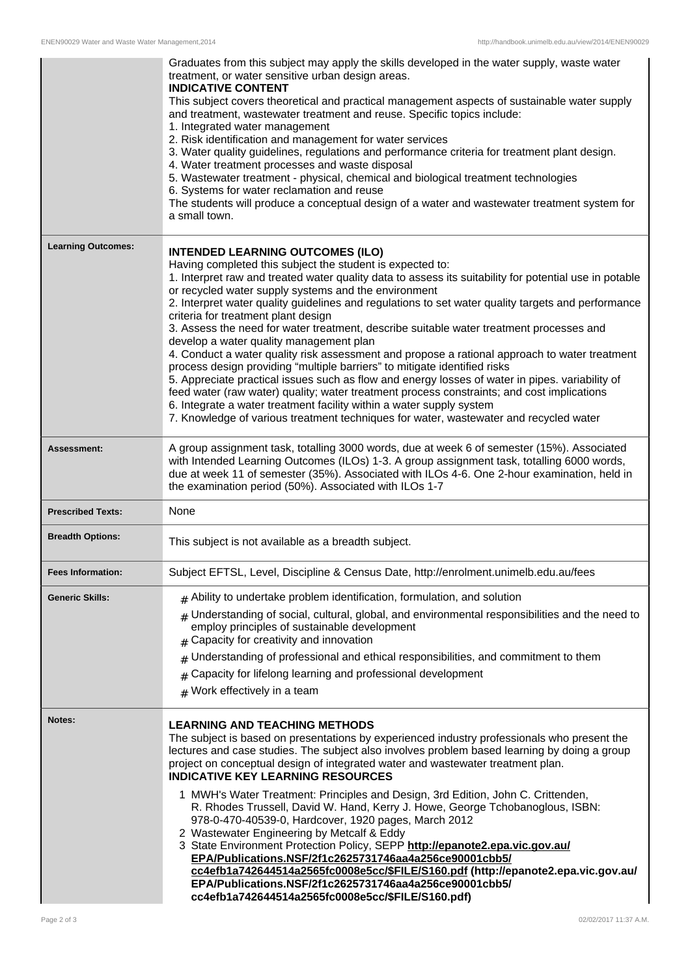|                           | Graduates from this subject may apply the skills developed in the water supply, waste water<br>treatment, or water sensitive urban design areas.<br><b>INDICATIVE CONTENT</b><br>This subject covers theoretical and practical management aspects of sustainable water supply<br>and treatment, wastewater treatment and reuse. Specific topics include:<br>1. Integrated water management<br>2. Risk identification and management for water services<br>3. Water quality guidelines, regulations and performance criteria for treatment plant design.<br>4. Water treatment processes and waste disposal<br>5. Wastewater treatment - physical, chemical and biological treatment technologies<br>6. Systems for water reclamation and reuse<br>The students will produce a conceptual design of a water and wastewater treatment system for<br>a small town.                                                                                                                                                                                                                                           |
|---------------------------|-----------------------------------------------------------------------------------------------------------------------------------------------------------------------------------------------------------------------------------------------------------------------------------------------------------------------------------------------------------------------------------------------------------------------------------------------------------------------------------------------------------------------------------------------------------------------------------------------------------------------------------------------------------------------------------------------------------------------------------------------------------------------------------------------------------------------------------------------------------------------------------------------------------------------------------------------------------------------------------------------------------------------------------------------------------------------------------------------------------|
| <b>Learning Outcomes:</b> | <b>INTENDED LEARNING OUTCOMES (ILO)</b><br>Having completed this subject the student is expected to:<br>1. Interpret raw and treated water quality data to assess its suitability for potential use in potable<br>or recycled water supply systems and the environment<br>2. Interpret water quality guidelines and regulations to set water quality targets and performance<br>criteria for treatment plant design<br>3. Assess the need for water treatment, describe suitable water treatment processes and<br>develop a water quality management plan<br>4. Conduct a water quality risk assessment and propose a rational approach to water treatment<br>process design providing "multiple barriers" to mitigate identified risks<br>5. Appreciate practical issues such as flow and energy losses of water in pipes. variability of<br>feed water (raw water) quality; water treatment process constraints; and cost implications<br>6. Integrate a water treatment facility within a water supply system<br>7. Knowledge of various treatment techniques for water, wastewater and recycled water |
| Assessment:               | A group assignment task, totalling 3000 words, due at week 6 of semester (15%). Associated<br>with Intended Learning Outcomes (ILOs) 1-3. A group assignment task, totalling 6000 words,<br>due at week 11 of semester (35%). Associated with ILOs 4-6. One 2-hour examination, held in<br>the examination period (50%). Associated with ILOs 1-7                                                                                                                                                                                                                                                                                                                                                                                                                                                                                                                                                                                                                                                                                                                                                         |
| <b>Prescribed Texts:</b>  | None                                                                                                                                                                                                                                                                                                                                                                                                                                                                                                                                                                                                                                                                                                                                                                                                                                                                                                                                                                                                                                                                                                      |
| <b>Breadth Options:</b>   | This subject is not available as a breadth subject.                                                                                                                                                                                                                                                                                                                                                                                                                                                                                                                                                                                                                                                                                                                                                                                                                                                                                                                                                                                                                                                       |
| <b>Fees Information:</b>  | Subject EFTSL, Level, Discipline & Census Date, http://enrolment.unimelb.edu.au/fees                                                                                                                                                                                                                                                                                                                                                                                                                                                                                                                                                                                                                                                                                                                                                                                                                                                                                                                                                                                                                      |
| <b>Generic Skills:</b>    | $#$ Ability to undertake problem identification, formulation, and solution<br>Understanding of social, cultural, global, and environmental responsibilities and the need to<br>#<br>employ principles of sustainable development<br>Capacity for creativity and innovation<br>#<br>Understanding of professional and ethical responsibilities, and commitment to them<br>#<br>Capacity for lifelong learning and professional development<br>#<br>$#$ Work effectively in a team                                                                                                                                                                                                                                                                                                                                                                                                                                                                                                                                                                                                                          |
| Notes:                    | <b>LEARNING AND TEACHING METHODS</b><br>The subject is based on presentations by experienced industry professionals who present the<br>lectures and case studies. The subject also involves problem based learning by doing a group<br>project on conceptual design of integrated water and wastewater treatment plan.<br><b>INDICATIVE KEY LEARNING RESOURCES</b><br>1 MWH's Water Treatment: Principles and Design, 3rd Edition, John C. Crittenden,<br>R. Rhodes Trussell, David W. Hand, Kerry J. Howe, George Tchobanoglous, ISBN:<br>978-0-470-40539-0, Hardcover, 1920 pages, March 2012<br>2 Wastewater Engineering by Metcalf & Eddy<br>3 State Environment Protection Policy, SEPP http://epanote2.epa.vic.gov.au/<br>EPA/Publications.NSF/2f1c2625731746aa4a256ce90001cbb5/<br>cc4efb1a742644514a2565fc0008e5cc/\$FILE/S160.pdf (http://epanote2.epa.vic.gov.au/<br>EPA/Publications.NSF/2f1c2625731746aa4a256ce90001cbb5/<br>cc4efb1a742644514a2565fc0008e5cc/\$FILE/S160.pdf)                                                                                                                |